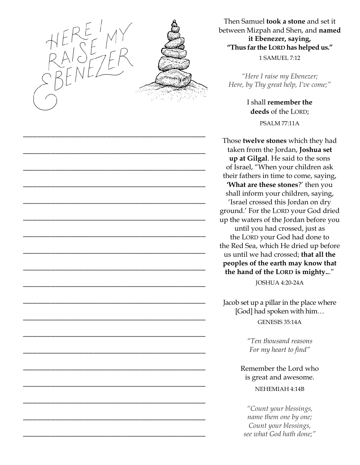

\_\_\_\_\_\_\_\_\_\_\_\_\_\_\_\_\_\_\_\_\_\_\_\_\_\_\_\_\_\_\_\_\_\_\_\_\_\_\_

\_\_\_\_\_\_\_\_\_\_\_\_\_\_\_\_\_\_\_\_\_\_\_\_\_\_\_\_\_\_\_\_\_\_\_\_\_\_\_

\_\_\_\_\_\_\_\_\_\_\_\_\_\_\_\_\_\_\_\_\_\_\_\_\_\_\_\_\_\_\_\_\_\_\_\_\_\_\_

\_\_\_\_\_\_\_\_\_\_\_\_\_\_\_\_\_\_\_\_\_\_\_\_\_\_\_\_\_\_\_\_\_\_\_\_\_\_\_

\_\_\_\_\_\_\_\_\_\_\_\_\_\_\_\_\_\_\_\_\_\_\_\_\_\_\_\_\_\_\_\_\_\_\_\_\_\_\_

\_\_\_\_\_\_\_\_\_\_\_\_\_\_\_\_\_\_\_\_\_\_\_\_\_\_\_\_\_\_\_\_\_\_\_\_\_\_\_

\_\_\_\_\_\_\_\_\_\_\_\_\_\_\_\_\_\_\_\_\_\_\_\_\_\_\_\_\_\_\_\_\_\_\_\_\_\_\_

\_\_\_\_\_\_\_\_\_\_\_\_\_\_\_\_\_\_\_\_\_\_\_\_\_\_\_\_\_\_\_\_\_\_\_\_\_\_\_

\_\_\_\_\_\_\_\_\_\_\_\_\_\_\_\_\_\_\_\_\_\_\_\_\_\_\_\_\_\_\_\_\_\_\_\_\_\_\_

\_\_\_\_\_\_\_\_\_\_\_\_\_\_\_\_\_\_\_\_\_\_\_\_\_\_\_\_\_\_\_\_\_\_\_\_\_\_\_

\_\_\_\_\_\_\_\_\_\_\_\_\_\_\_\_\_\_\_\_\_\_\_\_\_\_\_\_\_\_\_\_\_\_\_\_\_\_\_

\_\_\_\_\_\_\_\_\_\_\_\_\_\_\_\_\_\_\_\_\_\_\_\_\_\_\_\_\_\_\_\_\_\_\_\_\_\_\_

\_\_\_\_\_\_\_\_\_\_\_\_\_\_\_\_\_\_\_\_\_\_\_\_\_\_\_\_\_\_\_\_\_\_\_\_\_\_\_

\_\_\_\_\_\_\_\_\_\_\_\_\_\_\_\_\_\_\_\_\_\_\_\_\_\_\_\_\_\_\_\_\_\_\_\_\_\_\_

\_\_\_\_\_\_\_\_\_\_\_\_\_\_\_\_\_\_\_\_\_\_\_\_\_\_\_\_\_\_\_\_\_\_\_\_\_\_\_

\_\_\_\_\_\_\_\_\_\_\_\_\_\_\_\_\_\_\_\_\_\_\_\_\_\_\_\_\_\_\_\_\_\_\_\_\_\_\_

\_\_\_\_\_\_\_\_\_\_\_\_\_\_\_\_\_\_\_\_\_\_\_\_\_\_\_\_\_\_\_\_\_\_\_\_\_\_\_

\_\_\_\_\_\_\_\_\_\_\_\_\_\_\_\_\_\_\_\_\_\_\_\_\_\_\_\_\_\_\_\_\_\_\_\_\_\_\_

\_\_\_\_\_\_\_\_\_\_\_\_\_\_\_\_\_\_\_\_\_\_\_\_\_\_\_\_\_\_\_\_\_\_\_\_\_\_\_

Then Samuel **took a stone** and set it between Mizpah and Shen, and **named it Ebenezer, saying, "Thus far the LORD has helped us."**

1 SAMUEL 7:12

*"Here I raise my Ebenezer; Here, by Thy great help, I've come;"*

> I shall **remember the deeds** of the LORD; PSALM 77:11A

Those **twelve stones** which they had taken from the Jordan, **Joshua set up at Gilgal**. He said to the sons of Israel, "When your children ask their fathers in time to come, saying, **'What are these stones**?' then you shall inform your children, saying, 'Israel crossed this Jordan on dry ground.' For the LORD your God dried up the waters of the Jordan before you until you had crossed, just as

the LORD your God had done to the Red Sea, which He dried up before us until we had crossed; **that all the peoples of the earth may know that the hand of the LORD is mighty..**."

JOSHUA 4:20-24A

Jacob set up a pillar in the place where [God] had spoken with him…

GENESIS 35:14A

*"Ten thousand reasons For my heart to find"*

Remember the Lord who is great and awesome.

NEHEMIAH 4:14B

*"Count your blessings, name them one by one; Count your blessings, see what God hath done;"*